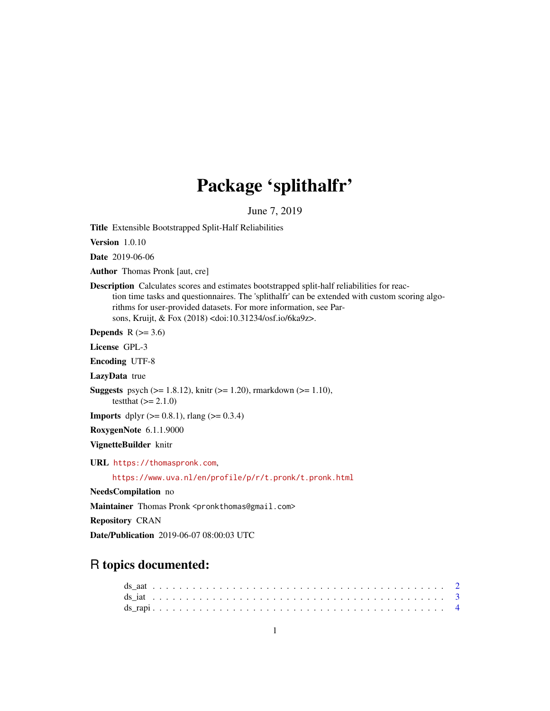## Package 'splithalfr'

June 7, 2019

Title Extensible Bootstrapped Split-Half Reliabilities

Version 1.0.10

Date 2019-06-06

Author Thomas Pronk [aut, cre]

Description Calculates scores and estimates bootstrapped split-half reliabilities for reaction time tasks and questionnaires. The 'splithalfr' can be extended with custom scoring algorithms for user-provided datasets. For more information, see Parsons, Kruijt, & Fox (2018) <doi:10.31234/osf.io/6ka9z>.

Depends  $R$  ( $> = 3.6$ )

License GPL-3

Encoding UTF-8

LazyData true

**Suggests** psych ( $>= 1.8.12$ ), knitr ( $>= 1.20$ ), rmarkdown ( $>= 1.10$ ), testthat  $(>= 2.1.0)$ 

**Imports** dplyr  $(>= 0.8.1)$ , rlang  $(>= 0.3.4)$ 

RoxygenNote 6.1.1.9000

VignetteBuilder knitr

URL <https://thomaspronk.com>,

<https://www.uva.nl/en/profile/p/r/t.pronk/t.pronk.html>

NeedsCompilation no

Maintainer Thomas Pronk <pronkthomas@gmail.com>

Repository CRAN

Date/Publication 2019-06-07 08:00:03 UTC

### R topics documented: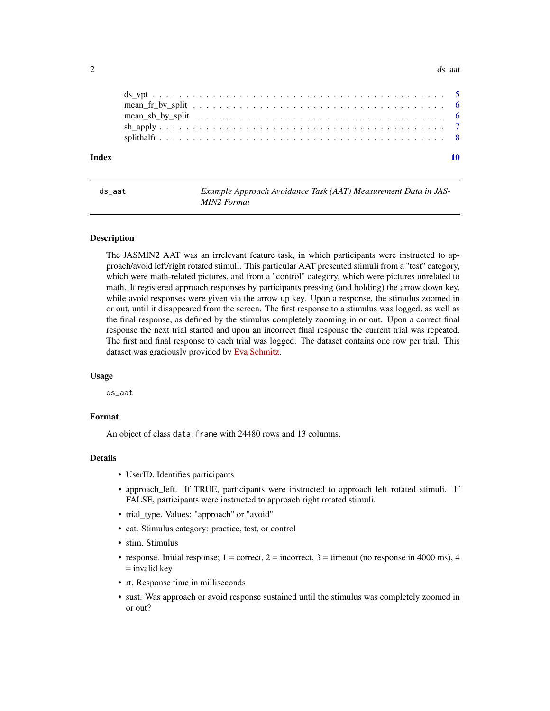#### <span id="page-1-0"></span> $2 \,$  ds\_aat  $\frac{1}{2}$  ds\_aat  $\frac{1}{2}$  ds\_aat  $\frac{1}{2}$  ds\_aat  $\frac{1}{2}$  ds\_aat  $\frac{1}{2}$  ds\_aat  $\frac{1}{2}$  ds\_aat  $\frac{1}{2}$  ds\_aat  $\frac{1}{2}$  ds\_aat  $\frac{1}{2}$  ds\_aat  $\frac{1}{2}$  ds\_aat  $\frac{1}{2}$  ds\_aat  $\frac{1}{2}$  ds\_aat  $\frac{$

| Index |  |  |  |  |  |  |  |  |  |  |  |  |  |  |  |  |
|-------|--|--|--|--|--|--|--|--|--|--|--|--|--|--|--|--|
|       |  |  |  |  |  |  |  |  |  |  |  |  |  |  |  |  |
|       |  |  |  |  |  |  |  |  |  |  |  |  |  |  |  |  |
|       |  |  |  |  |  |  |  |  |  |  |  |  |  |  |  |  |
|       |  |  |  |  |  |  |  |  |  |  |  |  |  |  |  |  |
|       |  |  |  |  |  |  |  |  |  |  |  |  |  |  |  |  |

ds\_aat *Example Approach Avoidance Task (AAT) Measurement Data in JAS-MIN2 Format*

#### Description

The JASMIN2 AAT was an irrelevant feature task, in which participants were instructed to approach/avoid left/right rotated stimuli. This particular AAT presented stimuli from a "test" category, which were math-related pictures, and from a "control" category, which were pictures unrelated to math. It registered approach responses by participants pressing (and holding) the arrow down key, while avoid responses were given via the arrow up key. Upon a response, the stimulus zoomed in or out, until it disappeared from the screen. The first response to a stimulus was logged, as well as the final response, as defined by the stimulus completely zooming in or out. Upon a correct final response the next trial started and upon an incorrect final response the current trial was repeated. The first and final response to each trial was logged. The dataset contains one row per trial. This dataset was graciously provided by [Eva Schmitz.](https://www.researchgate.net/profile/Eva_Schmitz4)

#### Usage

ds\_aat

#### Format

An object of class data.frame with 24480 rows and 13 columns.

#### Details

- UserID. Identifies participants
- approach\_left. If TRUE, participants were instructed to approach left rotated stimuli. If FALSE, participants were instructed to approach right rotated stimuli.
- trial\_type. Values: "approach" or "avoid"
- cat. Stimulus category: practice, test, or control
- stim. Stimulus
- response. Initial response;  $1 =$  correct,  $2 =$  incorrect,  $3 =$  timeout (no response in 4000 ms), 4  $=$  invalid key
- rt. Response time in milliseconds
- sust. Was approach or avoid response sustained until the stimulus was completely zoomed in or out?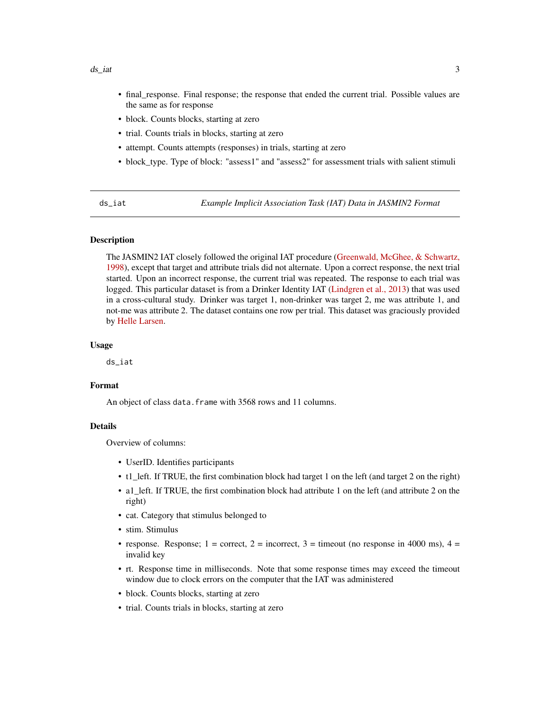#### <span id="page-2-0"></span> $ds\_iat$  3

- final\_response. Final response; the response that ended the current trial. Possible values are the same as for response
- block. Counts blocks, starting at zero
- trial. Counts trials in blocks, starting at zero
- attempt. Counts attempts (responses) in trials, starting at zero
- block\_type. Type of block: "assess1" and "assess2" for assessment trials with salient stimuli

ds\_iat *Example Implicit Association Task (IAT) Data in JASMIN2 Format*

#### Description

The JASMIN2 IAT closely followed the original IAT procedure [\(Greenwald, McGhee, & Schwartz,](https://dx.doi.org/10.1037/0022-3514.74.6.1464) [1998\)](https://dx.doi.org/10.1037/0022-3514.74.6.1464), except that target and attribute trials did not alternate. Upon a correct response, the next trial started. Upon an incorrect response, the current trial was repeated. The response to each trial was logged. This particular dataset is from a Drinker Identity IAT [\(Lindgren et al., 2013\)](https://dx.doi.org/10.1037/a0027640) that was used in a cross-cultural study. Drinker was target 1, non-drinker was target 2, me was attribute 1, and not-me was attribute 2. The dataset contains one row per trial. This dataset was graciously provided by [Helle Larsen.](https://scholar.google.com/citations?user=ugPnkjEAAAAJ&hl=en)

#### Usage

ds\_iat

#### Format

An object of class data. frame with 3568 rows and 11 columns.

#### Details

Overview of columns:

- UserID. Identifies participants
- t1\_left. If TRUE, the first combination block had target 1 on the left (and target 2 on the right)
- a1 left. If TRUE, the first combination block had attribute 1 on the left (and attribute 2 on the right)
- cat. Category that stimulus belonged to
- stim. Stimulus
- response. Response; 1 = correct, 2 = incorrect, 3 = timeout (no response in 4000 ms), 4 = invalid key
- rt. Response time in milliseconds. Note that some response times may exceed the timeout window due to clock errors on the computer that the IAT was administered
- block. Counts blocks, starting at zero
- trial. Counts trials in blocks, starting at zero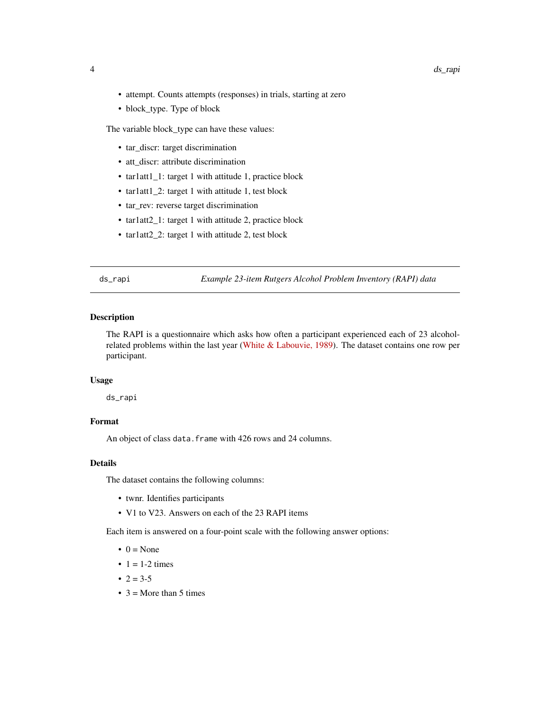- <span id="page-3-0"></span>• attempt. Counts attempts (responses) in trials, starting at zero
- block\_type. Type of block

The variable block\_type can have these values:

- tar\_discr: target discrimination
- att\_discr: attribute discrimination
- tar1att1\_1: target 1 with attitude 1, practice block
- tar1att1\_2: target 1 with attitude 1, test block
- tar\_rev: reverse target discrimination
- tar1att2\_1: target 1 with attitude 2, practice block
- tar1att2\_2: target 1 with attitude 2, test block

ds\_rapi *Example 23-item Rutgers Alcohol Problem Inventory (RAPI) data*

#### Description

The RAPI is a questionnaire which asks how often a participant experienced each of 23 alcoholrelated problems within the last year [\(White & Labouvie, 1989\)](https://research.alcoholstudies.rutgers.edu/rapi). The dataset contains one row per participant.

#### Usage

ds\_rapi

#### Format

An object of class data. frame with 426 rows and 24 columns.

#### Details

The dataset contains the following columns:

- twnr. Identifies participants
- V1 to V23. Answers on each of the 23 RAPI items

Each item is answered on a four-point scale with the following answer options:

- $\bullet$  0 = None
- $\bullet$  1 = 1-2 times
- $2 = 3-5$
- $3 =$ More than 5 times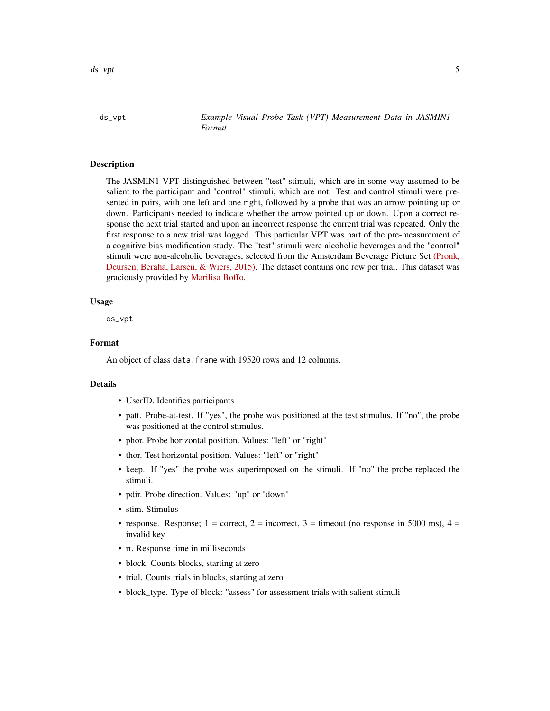<span id="page-4-0"></span>ds\_vpt *Example Visual Probe Task (VPT) Measurement Data in JASMIN1 Format*

#### **Description**

The JASMIN1 VPT distinguished between "test" stimuli, which are in some way assumed to be salient to the participant and "control" stimuli, which are not. Test and control stimuli were presented in pairs, with one left and one right, followed by a probe that was an arrow pointing up or down. Participants needed to indicate whether the arrow pointed up or down. Upon a correct response the next trial started and upon an incorrect response the current trial was repeated. Only the first response to a new trial was logged. This particular VPT was part of the pre-measurement of a cognitive bias modification study. The "test" stimuli were alcoholic beverages and the "control" stimuli were non-alcoholic beverages, selected from the Amsterdam Beverage Picture Set [\(Pronk,](https://doi.org/10.1111/acer.12853) [Deursen, Beraha, Larsen, & Wiers, 2015\).](https://doi.org/10.1111/acer.12853) The dataset contains one row per trial. This dataset was graciously provided by [Marilisa Boffo.](https://www.researchgate.net/profile/Marilisa_Boffo)

#### Usage

ds\_vpt

#### Format

An object of class data. frame with 19520 rows and 12 columns.

#### Details

- UserID. Identifies participants
- patt. Probe-at-test. If "yes", the probe was positioned at the test stimulus. If "no", the probe was positioned at the control stimulus.
- phor. Probe horizontal position. Values: "left" or "right"
- thor. Test horizontal position. Values: "left" or "right"
- keep. If "yes" the probe was superimposed on the stimuli. If "no" the probe replaced the stimuli.
- pdir. Probe direction. Values: "up" or "down"
- stim. Stimulus
- response. Response; 1 = correct, 2 = incorrect, 3 = timeout (no response in 5000 ms), 4 = invalid key
- rt. Response time in milliseconds
- block. Counts blocks, starting at zero
- trial. Counts trials in blocks, starting at zero
- block\_type. Type of block: "assess" for assessment trials with salient stimuli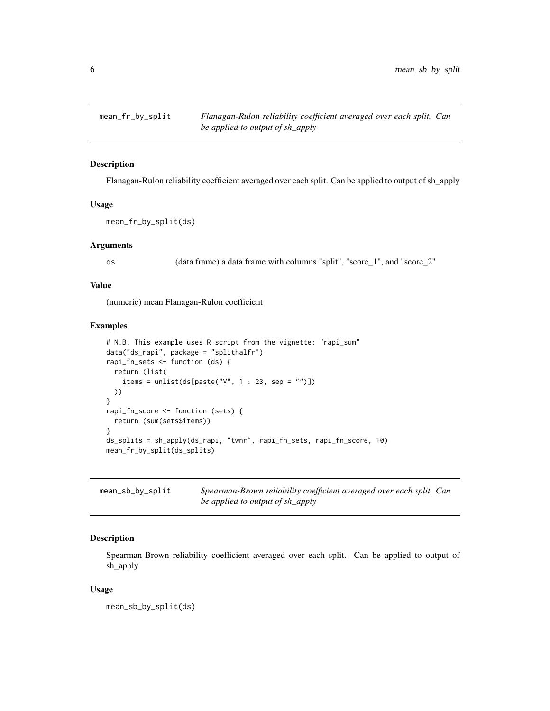<span id="page-5-0"></span>

#### Description

Flanagan-Rulon reliability coefficient averaged over each split. Can be applied to output of sh\_apply

#### Usage

```
mean_fr_by_split(ds)
```
#### Arguments

ds (data frame) a data frame with columns "split", "score\_1", and "score\_2"

#### Value

(numeric) mean Flanagan-Rulon coefficient

#### Examples

```
# N.B. This example uses R script from the vignette: "rapi_sum"
data("ds_rapi", package = "splithalfr")
rapi_fn_sets <- function (ds) {
  return (list(
    items = unlist(ds[paste("V'', 1 : 23, sep = "")])
 ))
}
rapi_fn_score <- function (sets) {
  return (sum(sets$items))
}
ds_splits = sh_apply(ds_rapi, "twnr", rapi_fn_sets, rapi_fn_score, 10)
mean_fr_by_split(ds_splits)
```

| mean_sb_by_split | Spearman-Brown reliability coefficient averaged over each split. Can |
|------------------|----------------------------------------------------------------------|
|                  | be applied to output of sh_apply                                     |

#### Description

Spearman-Brown reliability coefficient averaged over each split. Can be applied to output of sh\_apply

#### Usage

mean\_sb\_by\_split(ds)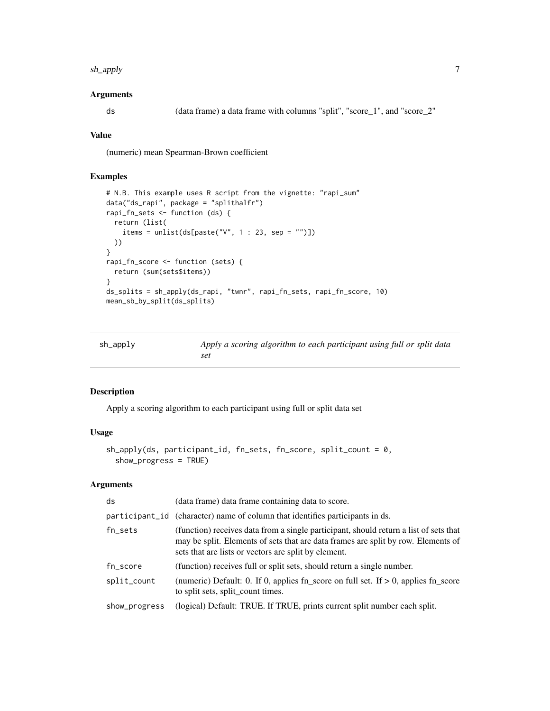#### <span id="page-6-0"></span>sh\_apply 7

#### Arguments

ds (data frame) a data frame with columns "split", "score\_1", and "score\_2"

#### Value

(numeric) mean Spearman-Brown coefficient

#### Examples

```
# N.B. This example uses R script from the vignette: "rapi_sum"
data("ds_rapi", package = "splithalfr")
rapi_fn_sets <- function (ds) {
  return (list(
    items = unlist(ds[paste("V", 1 : 23, sep = "")])
  ))
}
rapi_fn_score <- function (sets) {
  return (sum(sets$items))
}
ds_splits = sh_apply(ds_rapi, "twnr", rapi_fn_sets, rapi_fn_score, 10)
mean_sb_by_split(ds_splits)
```

| sh_apply | Apply a scoring algorithm to each participant using full or split data |
|----------|------------------------------------------------------------------------|
|          | set                                                                    |

#### Description

Apply a scoring algorithm to each participant using full or split data set

#### Usage

```
sh_apply(ds, participant_id, fn_sets, fn_score, split_count = 0,
  show_progress = TRUE)
```
#### Arguments

| ds            | (data frame) data frame containing data to score.                                                                                                                                                                                  |
|---------------|------------------------------------------------------------------------------------------------------------------------------------------------------------------------------------------------------------------------------------|
|               | participant id (character) name of column that identifies participants in ds.                                                                                                                                                      |
| $fn\_sets$    | (function) receives data from a single participant, should return a list of sets that<br>may be split. Elements of sets that are data frames are split by row. Elements of<br>sets that are lists or vectors are split by element. |
| fn_score      | (function) receives full or split sets, should return a single number.                                                                                                                                                             |
| split_count   | (numeric) Default: 0. If 0, applies fn_score on full set. If $> 0$ , applies fn_score<br>to split sets, split_count times.                                                                                                         |
| show_progress | (logical) Default: TRUE. If TRUE, prints current split number each split.                                                                                                                                                          |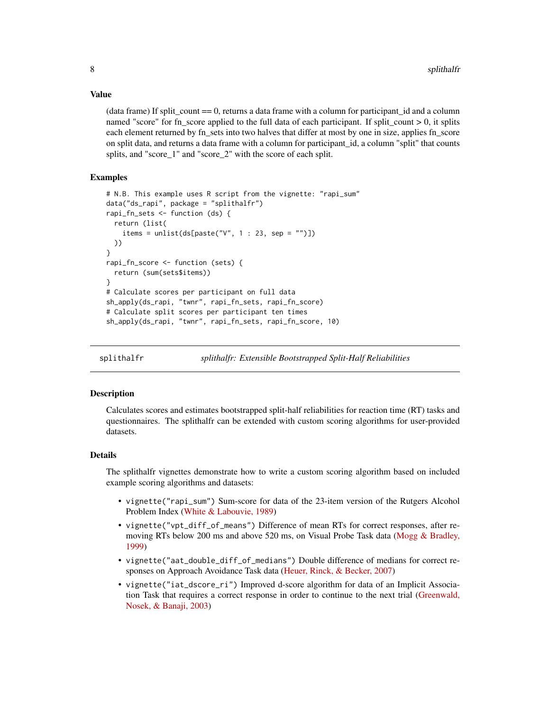#### <span id="page-7-0"></span>Value

(data frame) If split count  $== 0$ , returns a data frame with a column for participant id and a column named "score" for fn\_score applied to the full data of each participant. If split\_count  $> 0$ , it splits each element returned by fn\_sets into two halves that differ at most by one in size, applies fn\_score on split data, and returns a data frame with a column for participant\_id, a column "split" that counts splits, and "score 1" and "score 2" with the score of each split.

#### Examples

```
# N.B. This example uses R script from the vignette: "rapi_sum"
data("ds_rapi", package = "splithalfr")
rapi_fn_sets <- function (ds) {
 return (list(
    items = unlist(ds[paste("V'', 1 : 23, sep = "")])
 ))
}
rapi_fn_score <- function (sets) {
 return (sum(sets$items))
}
# Calculate scores per participant on full data
sh_apply(ds_rapi, "twnr", rapi_fn_sets, rapi_fn_score)
# Calculate split scores per participant ten times
sh_apply(ds_rapi, "twnr", rapi_fn_sets, rapi_fn_score, 10)
```
splithalfr *splithalfr: Extensible Bootstrapped Split-Half Reliabilities*

#### Description

Calculates scores and estimates bootstrapped split-half reliabilities for reaction time (RT) tasks and questionnaires. The splithalfr can be extended with custom scoring algorithms for user-provided datasets.

#### Details

The splithalfr vignettes demonstrate how to write a custom scoring algorithm based on included example scoring algorithms and datasets:

- vignette("rapi\_sum") Sum-score for data of the 23-item version of the Rutgers Alcohol Problem Index [\(White & Labouvie, 1989\)](https://research.alcoholstudies.rutgers.edu/rapi)
- vignette("vpt\_diff\_of\_means") Difference of mean RTs for correct responses, after removing RTs below 200 ms and above 520 ms, on Visual Probe Task data [\(Mogg & Bradley,](https://doi.org/10.1080/026999399379050) [1999\)](https://doi.org/10.1080/026999399379050)
- vignette("aat\_double\_diff\_of\_medians") Double difference of medians for correct responses on Approach Avoidance Task data [\(Heuer, Rinck, & Becker, 2007\)](http://doi.org/10.1016/j.brat.2007.08.010)
- vignette("iat\_dscore\_ri") Improved d-score algorithm for data of an Implicit Association Task that requires a correct response in order to continue to the next trial [\(Greenwald,](http://dx.doi.org/10.1037/0022-3514.85.2.197) [Nosek, & Banaji, 2003\)](http://dx.doi.org/10.1037/0022-3514.85.2.197)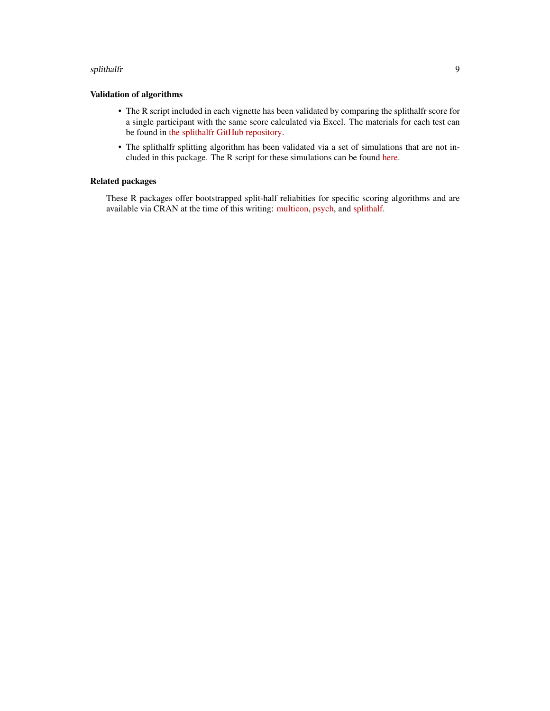#### splithalfr 90 and 200 minutes and 200 minutes and 200 minutes and 200 minutes and 200 minutes and 30 minutes and 30 minutes and 30 minutes and 30 minutes and 30 minutes and 30 minutes and 30 minutes and 30 minutes and 30 m

#### Validation of algorithms

- The R script included in each vignette has been validated by comparing the splithalfr score for a single participant with the same score calculated via Excel. The materials for each test can be found in [the splithalfr GitHub repository.](https://github.com/tpronk/splithalfr/tree/master/tests)
- The splithalfr splitting algorithm has been validated via a set of simulations that are not included in this package. The R script for these simulations can be found [here.](https://github.com/tpronk/splithalfr_simulation)

#### Related packages

These R packages offer bootstrapped split-half reliabities for specific scoring algorithms and are available via CRAN at the time of this writing: [multicon,](https://cran.r-project.org/package=multicon) [psych,](https://cran.r-project.org/package=psych) and [splithalf.](https://cran.r-project.org/package=splithalf)